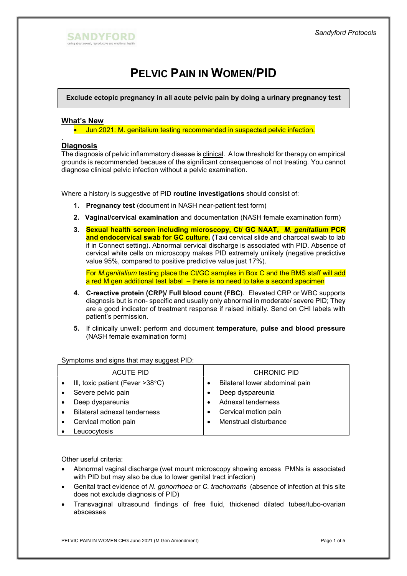

# PELVIC PAIN IN WOMEN/PID

Exclude ectopic pregnancy in all acute pelvic pain by doing a urinary pregnancy test

#### What's New

• Jun 2021: M. genitalium testing recommended in suspected pelvic infection.

#### . **Diagnosis**

The diagnosis of pelvic inflammatory disease is clinical. A low threshold for therapy on empirical grounds is recommended because of the significant consequences of not treating. You cannot diagnose clinical pelvic infection without a pelvic examination.

Where a history is suggestive of PID routine investigations should consist of:

- 1. Pregnancy test (document in NASH near-patient test form)
- 2. Vaginal/cervical examination and documentation (NASH female examination form)
- 3. Sexual health screen including microscopy, Ct/ GC NAAT, M. genitalium PCR and endocervical swab for GC culture. (Taxi cervical slide and charcoal swab to lab if in Connect setting). Abnormal cervical discharge is associated with PID. Absence of cervical white cells on microscopy makes PID extremely unlikely (negative predictive value 95%, compared to positive predictive value just 17%).

For M.genitalium testing place the Ct/GC samples in Box C and the BMS staff will add  $a$  red M gen additional test label  $-$  there is no need to take a second specimen

- 4. C-reactive protein (CRP)/ Full blood count (FBC). Elevated CRP or WBC supports diagnosis but is non- specific and usually only abnormal in moderate/ severe PID; They are a good indicator of treatment response if raised initially. Send on CHI labels with patient's permission.
- 5. If clinically unwell: perform and document temperature, pulse and blood pressure (NASH female examination form)

Symptoms and signs that may suggest PID:

| <b>ACUTE PID</b> |                                            | <b>CHRONIC PID</b> |                                |
|------------------|--------------------------------------------|--------------------|--------------------------------|
|                  | III, toxic patient (Fever $>38^{\circ}$ C) | $\bullet$          | Bilateral lower abdominal pain |
|                  | Severe pelvic pain                         |                    | Deep dyspareunia               |
|                  | Deep dyspareunia                           |                    | Adnexal tenderness             |
|                  | Bilateral adnexal tenderness               |                    | Cervical motion pain           |
|                  | Cervical motion pain                       |                    | Menstrual disturbance          |
|                  | Leucocytosis                               |                    |                                |

Other useful criteria:

- Abnormal vaginal discharge (wet mount microscopy showing excess PMNs is associated with PID but may also be due to lower genital tract infection)
- Genital tract evidence of N. gonorrhoea or C. trachomatis (absence of infection at this site does not exclude diagnosis of PID)
- Transvaginal ultrasound findings of free fluid, thickened dilated tubes/tubo-ovarian abscesses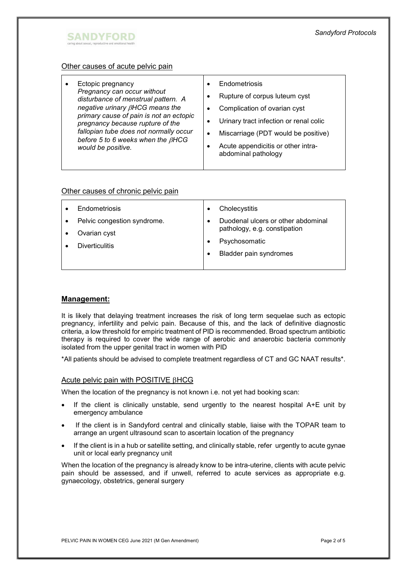

### Other causes of acute pelvic pain

| Ectopic pregnancy<br>Pregnancy can occur without<br>disturbance of menstrual pattern. A<br>negative urinary $\beta$ HCG means the<br>primary cause of pain is not an ectopic<br>pregnancy because rupture of the<br>fallopian tube does not normally occur<br>before 5 to 6 weeks when the $\beta$ HCG<br>would be positive. | Endometriosis<br>Rupture of corpus luteum cyst<br>Complication of ovarian cyst<br>Urinary tract infection or renal colic<br>Miscarriage (PDT would be positive)<br>Acute appendicitis or other intra-<br>abdominal pathology |  |
|------------------------------------------------------------------------------------------------------------------------------------------------------------------------------------------------------------------------------------------------------------------------------------------------------------------------------|------------------------------------------------------------------------------------------------------------------------------------------------------------------------------------------------------------------------------|--|
|------------------------------------------------------------------------------------------------------------------------------------------------------------------------------------------------------------------------------------------------------------------------------------------------------------------------------|------------------------------------------------------------------------------------------------------------------------------------------------------------------------------------------------------------------------------|--|

#### Other causes of chronic pelvic pain

| Endometriosis                               | Cholecystitis                                                      |  |
|---------------------------------------------|--------------------------------------------------------------------|--|
| Pelvic congestion syndrome.<br>Ovarian cyst | Duodenal ulcers or other abdominal<br>pathology, e.g. constipation |  |
| <b>Diverticulitis</b>                       | Psychosomatic<br>Bladder pain syndromes                            |  |

## Management:

It is likely that delaying treatment increases the risk of long term sequelae such as ectopic pregnancy, infertility and pelvic pain. Because of this, and the lack of definitive diagnostic criteria, a low threshold for empiric treatment of PID is recommended. Broad spectrum antibiotic therapy is required to cover the wide range of aerobic and anaerobic bacteria commonly isolated from the upper genital tract in women with PID

\*All patients should be advised to complete treatment regardless of CT and GC NAAT results\*.

#### Acute pelvic pain with POSITIVE  $\beta$ HCG

When the location of the pregnancy is not known i.e. not yet had booking scan:

- If the client is clinically unstable, send urgently to the nearest hospital A+E unit by emergency ambulance
- If the client is in Sandyford central and clinically stable, liaise with the TOPAR team to arrange an urgent ultrasound scan to ascertain location of the pregnancy
- If the client is in a hub or satellite setting, and clinically stable, refer urgently to acute gynae unit or local early pregnancy unit

When the location of the pregnancy is already know to be intra-uterine, clients with acute pelvic pain should be assessed, and if unwell, referred to acute services as appropriate e.g. gynaecology, obstetrics, general surgery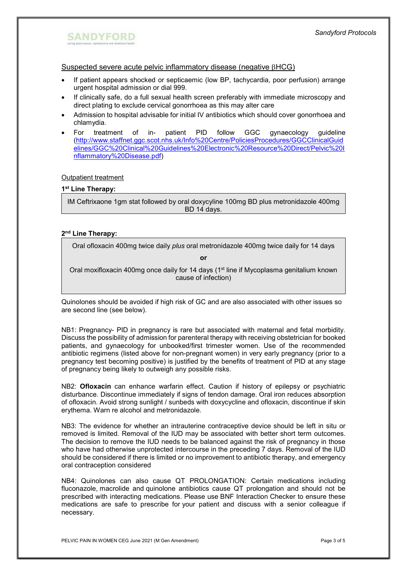## **SANDYFORD**

### Suspected severe acute pelvic inflammatory disease (negative  $\beta$ HCG)

- If patient appears shocked or septicaemic (low BP, tachycardia, poor perfusion) arrange urgent hospital admission or dial 999.
- If clinically safe, do a full sexual health screen preferably with immediate microscopy and direct plating to exclude cervical gonorrhoea as this may alter care
- Admission to hospital advisable for initial IV antibiotics which should cover gonorrhoea and chlamydia.
- For treatment of in- patient PID follow GGC gynaecology guideline (http://www.staffnet.ggc.scot.nhs.uk/Info%20Centre/PoliciesProcedures/GGCClinicalGuid elines/GGC%20Clinical%20Guidelines%20Electronic%20Resource%20Direct/Pelvic%20I nflammatory%20Disease.pdf)

#### Outpatient treatment

## 1<sup>st</sup> Line Therapy:

IM Ceftrixaone 1gm stat followed by oral doxycyline 100mg BD plus metronidazole 400mg BD 14 days.

## 2<sup>nd</sup> Line Therapy:

Oral ofloxacin 400mg twice daily plus oral metronidazole 400mg twice daily for 14 days

or

Oral moxifloxacin 400mg once daily for 14 days ( $1<sup>st</sup>$  line if Mycoplasma genitalium known cause of infection)

Quinolones should be avoided if high risk of GC and are also associated with other issues so are second line (see below).

NB1: Pregnancy- PID in pregnancy is rare but associated with maternal and fetal morbidity. Discuss the possibility of admission for parenteral therapy with receiving obstetrician for booked patients, and gynaecology for unbooked/first trimester women. Use of the recommended antibiotic regimens (listed above for non-pregnant women) in very early pregnancy (prior to a pregnancy test becoming positive) is justified by the benefits of treatment of PID at any stage of pregnancy being likely to outweigh any possible risks.

NB2: Ofloxacin can enhance warfarin effect. Caution if history of epilepsy or psychiatric disturbance. Discontinue immediately if signs of tendon damage. Oral iron reduces absorption of ofloxacin. Avoid strong sunlight / sunbeds with doxycycline and ofloxacin, discontinue if skin erythema. Warn re alcohol and metronidazole.

NB3: The evidence for whether an intrauterine contraceptive device should be left in situ or removed is limited. Removal of the IUD may be associated with better short term outcomes. The decision to remove the IUD needs to be balanced against the risk of pregnancy in those who have had otherwise unprotected intercourse in the preceding 7 days. Removal of the IUD should be considered if there is limited or no improvement to antibiotic therapy, and emergency oral contraception considered

NB4: Quinolones can also cause QT PROLONGATION: Certain medications including fluconazole, macrolide and quinolone antibiotics cause QT prolongation and should not be prescribed with interacting medications. Please use BNF Interaction Checker to ensure these medications are safe to prescribe for your patient and discuss with a senior colleague if necessary.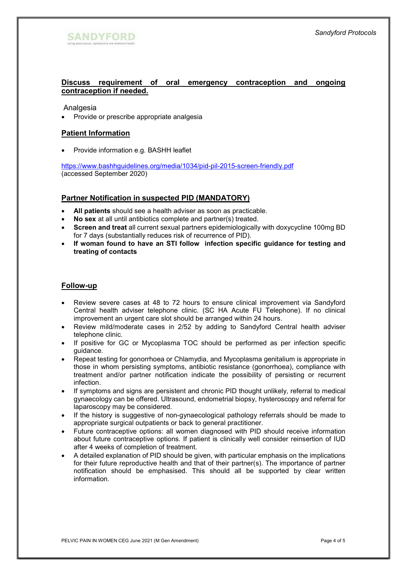

## Discuss requirement of oral emergency contraception and ongoing contraception if needed.

Analgesia

• Provide or prescribe appropriate analgesia

## Patient Information

Provide information e.g. BASHH leaflet

https://www.bashhguidelines.org/media/1034/pid-pil-2015-screen-friendly.pdf (accessed September 2020)

#### Partner Notification in suspected PID (MANDATORY)

- All patients should see a health adviser as soon as practicable.
- No sex at all until antibiotics complete and partner(s) treated.
- Screen and treat all current sexual partners epidemiologically with doxycycline 100mg BD for 7 days (substantially reduces risk of recurrence of PID).
- If woman found to have an STI follow infection specific guidance for testing and treating of contacts

#### Follow-up

- Review severe cases at 48 to 72 hours to ensure clinical improvement via Sandyford Central health adviser telephone clinic. (SC HA Acute FU Telephone). If no clinical improvement an urgent care slot should be arranged within 24 hours.
- Review mild/moderate cases in 2/52 by adding to Sandyford Central health adviser telephone clinic.
- If positive for GC or Mycoplasma TOC should be performed as per infection specific guidance.
- Repeat testing for gonorrhoea or Chlamydia, and Mycoplasma genitalium is appropriate in those in whom persisting symptoms, antibiotic resistance (gonorrhoea), compliance with treatment and/or partner notification indicate the possibility of persisting or recurrent infection.
- If symptoms and signs are persistent and chronic PID thought unlikely, referral to medical gynaecology can be offered. Ultrasound, endometrial biopsy, hysteroscopy and referral for laparoscopy may be considered.
- If the history is suggestive of non-gynaecological pathology referrals should be made to appropriate surgical outpatients or back to general practitioner.
- Future contraceptive options: all women diagnosed with PID should receive information about future contraceptive options. If patient is clinically well consider reinsertion of IUD after 4 weeks of completion of treatment.
- A detailed explanation of PID should be given, with particular emphasis on the implications for their future reproductive health and that of their partner(s). The importance of partner notification should be emphasised. This should all be supported by clear written information.